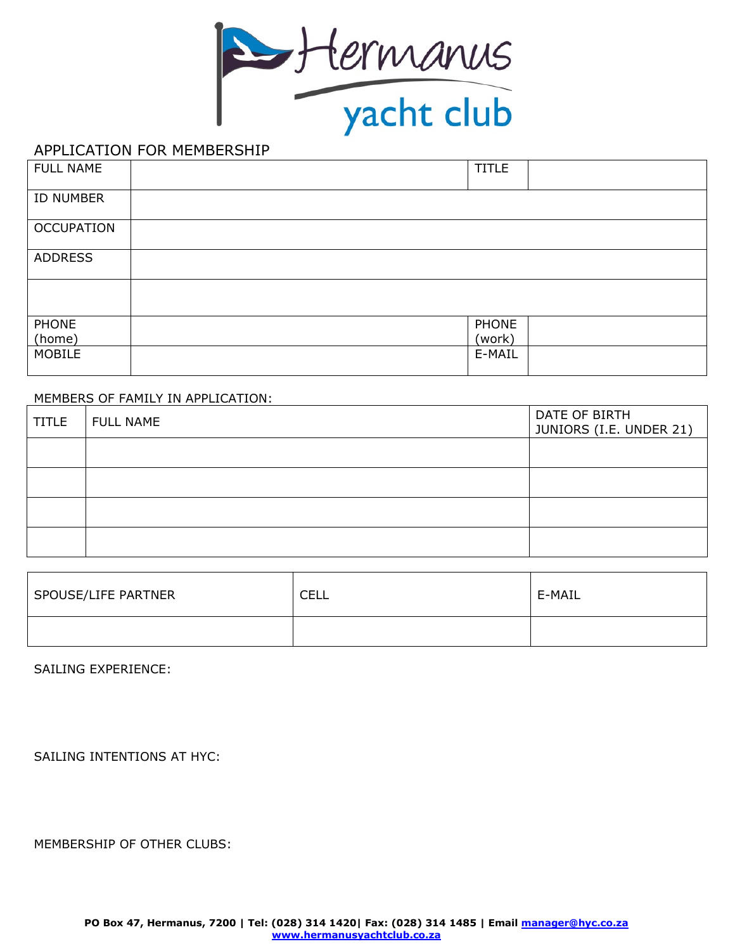

## APPLICATION FOR MEMBERSHIP

| FULL NAME         | <b>TITLE</b> |  |
|-------------------|--------------|--|
| ID NUMBER         |              |  |
| <b>OCCUPATION</b> |              |  |
| <b>ADDRESS</b>    |              |  |
|                   |              |  |
| <b>PHONE</b>      | PHONE        |  |
| (home)            | (work)       |  |
| <b>MOBILE</b>     | E-MAIL       |  |

## MEMBERS OF FAMILY IN APPLICATION:

| <b>TITLE</b> | <b>FULL NAME</b> | DATE OF BIRTH<br>JUNIORS (I.E. UNDER 21) |
|--------------|------------------|------------------------------------------|
|              |                  |                                          |
|              |                  |                                          |
|              |                  |                                          |
|              |                  |                                          |

| SPOUSE/LIFE PARTNER | ≘FI<br>ᅩᄂᄂ | E-MAIL |
|---------------------|------------|--------|
|                     |            |        |

SAILING EXPERIENCE:

SAILING INTENTIONS AT HYC:

MEMBERSHIP OF OTHER CLUBS: